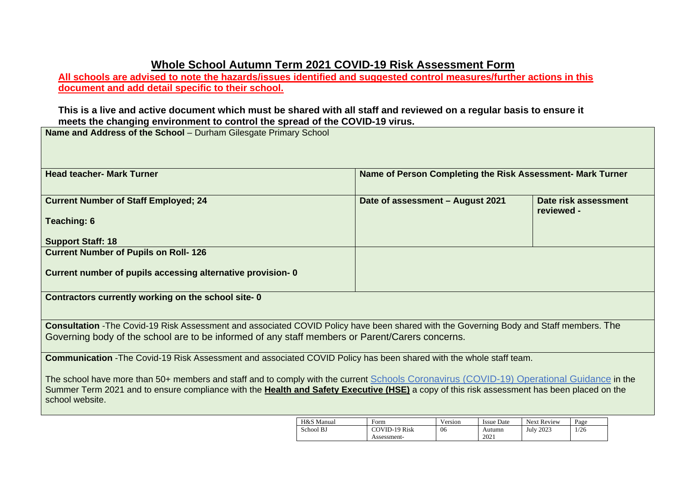# **Whole School Autumn Term 2021 COVID-19 Risk Assessment Form**

**All schools are advised to note the hazards/issues identified and suggested control measures/further actions in this document and add detail specific to their school.** 

#### **This is a live and active document which must be shared with all staff and reviewed on a regular basis to ensure it meets the changing environment to control the spread of the COVID-19 virus.**

**Name and Address of the School** – Durham Gilesgate Primary School

| <b>Head teacher- Mark Turner</b>                                                                                                                                                                                                                                                                           | Name of Person Completing the Risk Assessment- Mark Turner |                                    |  |  |  |  |  |  |  |  |
|------------------------------------------------------------------------------------------------------------------------------------------------------------------------------------------------------------------------------------------------------------------------------------------------------------|------------------------------------------------------------|------------------------------------|--|--|--|--|--|--|--|--|
| <b>Current Number of Staff Employed; 24</b>                                                                                                                                                                                                                                                                | Date of assessment - August 2021                           | Date risk assessment<br>reviewed - |  |  |  |  |  |  |  |  |
| Teaching: 6                                                                                                                                                                                                                                                                                                |                                                            |                                    |  |  |  |  |  |  |  |  |
| <b>Support Staff: 18</b>                                                                                                                                                                                                                                                                                   |                                                            |                                    |  |  |  |  |  |  |  |  |
| <b>Current Number of Pupils on Roll-126</b>                                                                                                                                                                                                                                                                |                                                            |                                    |  |  |  |  |  |  |  |  |
| Current number of pupils accessing alternative provision-0                                                                                                                                                                                                                                                 |                                                            |                                    |  |  |  |  |  |  |  |  |
| Contractors currently working on the school site-0                                                                                                                                                                                                                                                         |                                                            |                                    |  |  |  |  |  |  |  |  |
| Consultation -The Covid-19 Risk Assessment and associated COVID Policy have been shared with the Governing Body and Staff members. The                                                                                                                                                                     |                                                            |                                    |  |  |  |  |  |  |  |  |
| Governing body of the school are to be informed of any staff members or Parent/Carers concerns.                                                                                                                                                                                                            |                                                            |                                    |  |  |  |  |  |  |  |  |
| <b>Communication</b> -The Covid-19 Risk Assessment and associated COVID Policy has been shared with the whole staff team.                                                                                                                                                                                  |                                                            |                                    |  |  |  |  |  |  |  |  |
| The school have more than 50+ members and staff and to comply with the current Schools Coronavirus (COVID-19) Operational Guidance in the<br>Summer Term 2021 and to ensure compliance with the Health and Safety Executive (HSE) a copy of this risk assessment has been placed on the<br>school website. |                                                            |                                    |  |  |  |  |  |  |  |  |
| $\overline{\phantom{a}}$                                                                                                                                                                                                                                                                                   |                                                            |                                    |  |  |  |  |  |  |  |  |

| H&S Manual | Form          | Version | <b>Issue Date</b> | <b>Next Review</b> | Page |
|------------|---------------|---------|-------------------|--------------------|------|
| School BJ  | COVID-19 Risk | 06      | Autumn            | July 2023          | 1/26 |
|            | Assessment-   |         | 2021              |                    |      |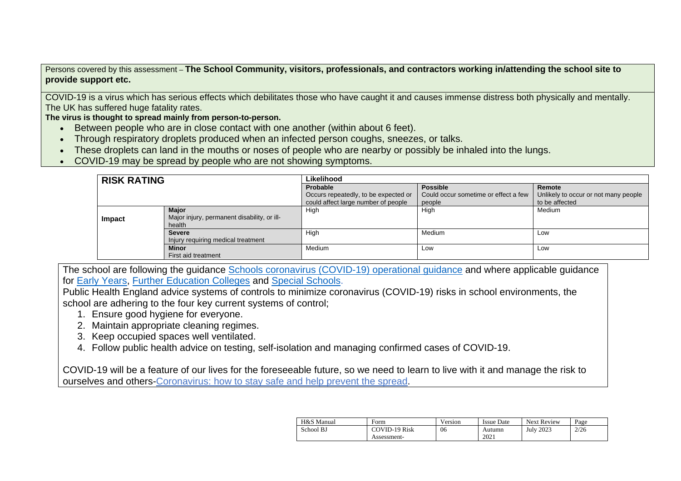Persons covered by this assessment – **The School Community, visitors, professionals, and contractors working in/attending the school site to provide support etc.**

COVID-19 is a virus which has serious effects which debilitates those who have caught it and causes immense distress both physically and mentally. The UK has suffered huge fatality rates.

**The virus is thought to spread mainly from person-to-person.**

- Between people who are in close contact with one another (within about 6 feet).
- Through respiratory droplets produced when an infected person coughs, sneezes, or talks.
- These droplets can land in the mouths or noses of people who are nearby or possibly be inhaled into the lungs.
- COVID-19 may be spread by people who are not showing symptoms.

| <b>RISK RATING</b> |                                             | Likelihood                           |                                      |                                      |
|--------------------|---------------------------------------------|--------------------------------------|--------------------------------------|--------------------------------------|
|                    |                                             | Probable                             | <b>Possible</b>                      | Remote                               |
|                    |                                             | Occurs repeatedly, to be expected or | Could occur sometime or effect a few | Unlikely to occur or not many people |
|                    |                                             | could affect large number of people  | people                               | to be affected                       |
|                    | <b>Major</b>                                | High                                 | High                                 | Medium                               |
| Impact             | Major injury, permanent disability, or ill- |                                      |                                      |                                      |
|                    | health                                      |                                      |                                      |                                      |
|                    | <b>Severe</b>                               | High                                 | Medium                               | Low                                  |
|                    | Injury requiring medical treatment          |                                      |                                      |                                      |
|                    | <b>Minor</b>                                | Medium                               | Low                                  | Low                                  |
|                    | First aid treatment                         |                                      |                                      |                                      |

The school are following the guidance [Schools coronavirus \(COVID-19\) operational guidance](https://www.gov.uk/government/publications/actions-for-schools-during-the-coronavirus-outbreak/schools-coronavirus-covid-19-operational-guidance) and where applicable guidance for [Early Years,](https://www.gov.uk/government/publications/coronavirus-covid-19-early-years-and-childcare-closures/actions-for-early-years-and-childcare-providers-during-the-covid-19-pandemic) [Further Education Colleges](https://www.gov.uk/government/publications/coronavirus-covid-19-maintaining-further-education-provision/further-education-covid-19-operational-guidance) and [Special Schools.](https://www.gov.uk/government/publications/guidance-for-full-opening-special-schools-and-other-specialist-settings/send-and-specialist-settings-additional-covid-19-operational-guidance-applies-after-step-4)

Public Health England advice systems of controls to minimize coronavirus (COVID-19) risks in school environments, the school are adhering to the four key current systems of control;

- 1. Ensure good hygiene for everyone.
- 2. Maintain appropriate cleaning regimes.
- 3. Keep occupied spaces well ventilated.
- 4. Follow public health advice on testing, self-isolation and managing confirmed cases of COVID-19.

[COVID-19 will be a feature of our lives for the foreseeable future, so we need to learn to live with it and manage the risk to](https://www.gov.uk/guidance/covid-19-coronavirus-restrictions-what-you-can-and-cannot-do?fbclid=IwAR05JnKHSGCw44PjqCdklSq0TdZNY55Qqf_5_MDleT_oAMdmVYhPVoGwdgU)  ourselves and others-Coronavirus: how [to stay safe and help prevent the spread.](https://www.gov.uk/guidance/covid-19-coronavirus-restrictions-what-you-can-and-cannot-do?fbclid=IwAR05JnKHSGCw44PjqCdklSq0TdZNY55Qqf_5_MDleT_oAMdmVYhPVoGwdgU)

| H&S Manual | Form                 | Version | <b>Issue Date</b> | Next Review      | Page |
|------------|----------------------|---------|-------------------|------------------|------|
| School BJ  | <b>COVID-19 Risk</b> | 06      | Autumn            | <b>July 2023</b> | 2/26 |
|            | Assessment-          |         | 2021              |                  |      |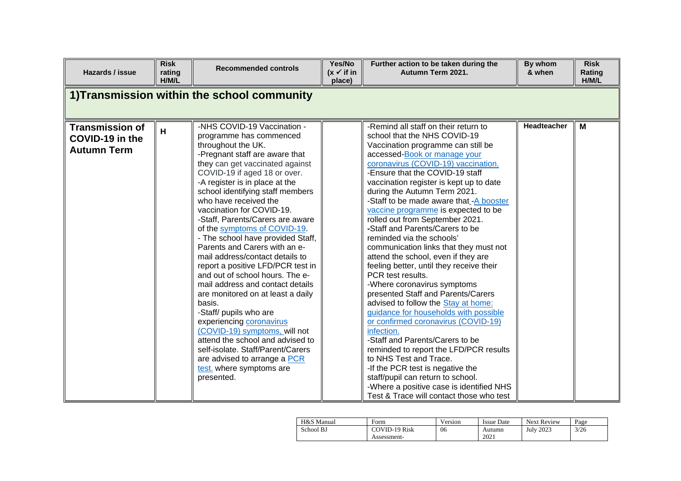| Hazards / issue                                                 | <b>Risk</b><br>rating<br>H/M/L | <b>Recommended controls</b>                                                                                                                                                                                                                                                                                                                                                                                                                                                                                                                                                                                                                                                                                                                                                                                                                                                                     | Yes/No<br>$(x \vee$ if in<br>place) | Further action to be taken during the<br>Autumn Term 2021.                                                                                                                                                                                                                                                                                                                                                                                                                                                                                                                                                                                                                                                                                                                                                                                                                                                                                                                                                                                                                                                               | By whom<br>& when | <b>Risk</b><br>Rating<br>H/M/L |
|-----------------------------------------------------------------|--------------------------------|-------------------------------------------------------------------------------------------------------------------------------------------------------------------------------------------------------------------------------------------------------------------------------------------------------------------------------------------------------------------------------------------------------------------------------------------------------------------------------------------------------------------------------------------------------------------------------------------------------------------------------------------------------------------------------------------------------------------------------------------------------------------------------------------------------------------------------------------------------------------------------------------------|-------------------------------------|--------------------------------------------------------------------------------------------------------------------------------------------------------------------------------------------------------------------------------------------------------------------------------------------------------------------------------------------------------------------------------------------------------------------------------------------------------------------------------------------------------------------------------------------------------------------------------------------------------------------------------------------------------------------------------------------------------------------------------------------------------------------------------------------------------------------------------------------------------------------------------------------------------------------------------------------------------------------------------------------------------------------------------------------------------------------------------------------------------------------------|-------------------|--------------------------------|
|                                                                 |                                | 1) Transmission within the school community                                                                                                                                                                                                                                                                                                                                                                                                                                                                                                                                                                                                                                                                                                                                                                                                                                                     |                                     |                                                                                                                                                                                                                                                                                                                                                                                                                                                                                                                                                                                                                                                                                                                                                                                                                                                                                                                                                                                                                                                                                                                          |                   |                                |
| <b>Transmission of</b><br>COVID-19 in the<br><b>Autumn Term</b> | H                              | -NHS COVID-19 Vaccination -<br>programme has commenced<br>throughout the UK.<br>-Pregnant staff are aware that<br>they can get vaccinated against<br>COVID-19 if aged 18 or over.<br>-A register is in place at the<br>school identifying staff members<br>who have received the<br>vaccination for COVID-19.<br>-Staff, Parents/Carers are aware<br>of the symptoms of COVID-19.<br>- The school have provided Staff,<br>Parents and Carers with an e-<br>mail address/contact details to<br>report a positive LFD/PCR test in<br>and out of school hours. The e-<br>mail address and contact details<br>are monitored on at least a daily<br>basis.<br>-Staff/ pupils who are<br>experiencing coronavirus<br>(COVID-19) symptoms, will not<br>attend the school and advised to<br>self-isolate. Staff/Parent/Carers<br>are advised to arrange a PCR<br>test. where symptoms are<br>presented. |                                     | -Remind all staff on their return to<br>school that the NHS COVID-19<br>Vaccination programme can still be<br>accessed-Book or manage your<br>coronavirus (COVID-19) vaccination.<br>-Ensure that the COVID-19 staff<br>vaccination register is kept up to date<br>during the Autumn Term 2021.<br>-Staff to be made aware that -A booster<br>vaccine programme is expected to be<br>rolled out from September 2021.<br>-Staff and Parents/Carers to be<br>reminded via the schools'<br>communication links that they must not<br>attend the school, even if they are<br>feeling better, until they receive their<br>PCR test results.<br>-Where coronavirus symptoms<br>presented Staff and Parents/Carers<br>advised to follow the Stay at home:<br>guidance for households with possible<br>or confirmed coronavirus (COVID-19)<br>infection.<br>-Staff and Parents/Carers to be<br>reminded to report the LFD/PCR results<br>to NHS Test and Trace.<br>-If the PCR test is negative the<br>staff/pupil can return to school.<br>-Where a positive case is identified NHS<br>Test & Trace will contact those who test | Headteacher       | M                              |

| H&S Manual | Form                 | Version | <b>Issue Date</b> | <b>Next Review</b> | Page |
|------------|----------------------|---------|-------------------|--------------------|------|
| School BJ  | <b>COVID-19 Risk</b> | 06      | Autumn            | <b>July 2023</b>   | 3/26 |
|            | Assessment-          |         | 2021              |                    |      |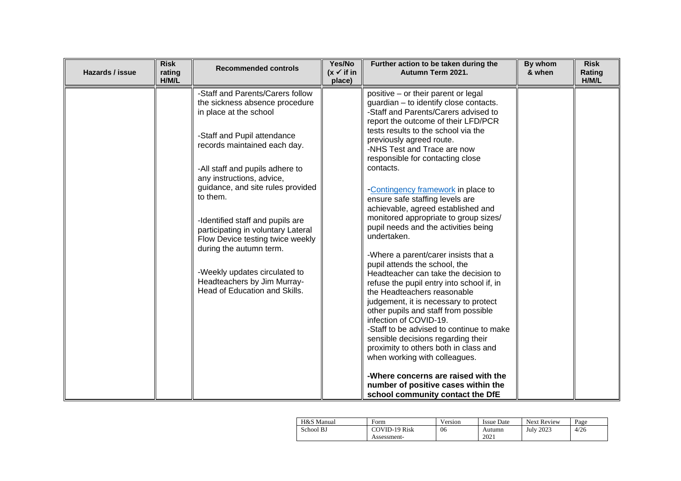| Hazards / issue | <b>Risk</b><br>rating<br>H/M/L | <b>Recommended controls</b>                                                                                                                                                                                                                                                                                                                                                                                                                                                                                            | Yes/No<br>$(x \vee$ if in<br>place) | Further action to be taken during the<br>Autumn Term 2021.                                                                                                                                                                                                                                                                                                                                                                                                                                                                                                                                                                                                                                                                                                                                                                                                                                                                                                                                                                                                                                                           | By whom<br>& when | <b>Risk</b><br>Rating<br>H/M/L |
|-----------------|--------------------------------|------------------------------------------------------------------------------------------------------------------------------------------------------------------------------------------------------------------------------------------------------------------------------------------------------------------------------------------------------------------------------------------------------------------------------------------------------------------------------------------------------------------------|-------------------------------------|----------------------------------------------------------------------------------------------------------------------------------------------------------------------------------------------------------------------------------------------------------------------------------------------------------------------------------------------------------------------------------------------------------------------------------------------------------------------------------------------------------------------------------------------------------------------------------------------------------------------------------------------------------------------------------------------------------------------------------------------------------------------------------------------------------------------------------------------------------------------------------------------------------------------------------------------------------------------------------------------------------------------------------------------------------------------------------------------------------------------|-------------------|--------------------------------|
|                 |                                | -Staff and Parents/Carers follow<br>the sickness absence procedure<br>in place at the school<br>-Staff and Pupil attendance<br>records maintained each day.<br>-All staff and pupils adhere to<br>any instructions, advice,<br>guidance, and site rules provided<br>to them.<br>-Identified staff and pupils are<br>participating in voluntary Lateral<br>Flow Device testing twice weekly<br>during the autumn term.<br>-Weekly updates circulated to<br>Headteachers by Jim Murray-<br>Head of Education and Skills. |                                     | positive - or their parent or legal<br>guardian - to identify close contacts.<br>-Staff and Parents/Carers advised to<br>report the outcome of their LFD/PCR<br>tests results to the school via the<br>previously agreed route.<br>-NHS Test and Trace are now<br>responsible for contacting close<br>contacts.<br>-Contingency framework in place to<br>ensure safe staffing levels are<br>achievable, agreed established and<br>monitored appropriate to group sizes/<br>pupil needs and the activities being<br>undertaken.<br>-Where a parent/carer insists that a<br>pupil attends the school, the<br>Headteacher can take the decision to<br>refuse the pupil entry into school if, in<br>the Headteachers reasonable<br>judgement, it is necessary to protect<br>other pupils and staff from possible<br>infection of COVID-19.<br>-Staff to be advised to continue to make<br>sensible decisions regarding their<br>proximity to others both in class and<br>when working with colleagues.<br>-Where concerns are raised with the<br>number of positive cases within the<br>school community contact the DfE |                   |                                |

| H&S Manual | Form                 | Version | <b>Issue Date</b> | <b>Next Review</b> | Page |
|------------|----------------------|---------|-------------------|--------------------|------|
| School BJ  | <b>COVID-19 Risk</b> | 06      | Autumn            | <b>July 2023</b>   | 4/26 |
|            | Assessment-          |         | 2021              |                    |      |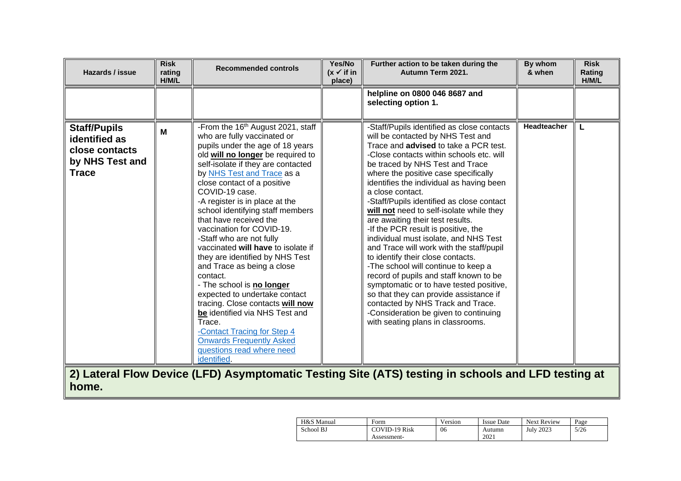| Hazards / issue                                                                           | <b>Risk</b><br>rating<br>H/M/L | <b>Recommended controls</b>                                                                                                                                                                                                                                                                                                                                                                                                                                                                                                                                                                                                                                                                                                                                                                                        | Yes/No<br>$(x \checkmark)$ if in<br>place) | Further action to be taken during the<br>Autumn Term 2021.                                                                                                                                                                                                                                                                                                                                                                                                                                                                                                                                                                                                                                                                                                                                                                                                                                                    | By whom<br>& when  | <b>Risk</b><br>Rating<br>H/M/L |
|-------------------------------------------------------------------------------------------|--------------------------------|--------------------------------------------------------------------------------------------------------------------------------------------------------------------------------------------------------------------------------------------------------------------------------------------------------------------------------------------------------------------------------------------------------------------------------------------------------------------------------------------------------------------------------------------------------------------------------------------------------------------------------------------------------------------------------------------------------------------------------------------------------------------------------------------------------------------|--------------------------------------------|---------------------------------------------------------------------------------------------------------------------------------------------------------------------------------------------------------------------------------------------------------------------------------------------------------------------------------------------------------------------------------------------------------------------------------------------------------------------------------------------------------------------------------------------------------------------------------------------------------------------------------------------------------------------------------------------------------------------------------------------------------------------------------------------------------------------------------------------------------------------------------------------------------------|--------------------|--------------------------------|
|                                                                                           |                                |                                                                                                                                                                                                                                                                                                                                                                                                                                                                                                                                                                                                                                                                                                                                                                                                                    |                                            | helpline on 0800 046 8687 and<br>selecting option 1.                                                                                                                                                                                                                                                                                                                                                                                                                                                                                                                                                                                                                                                                                                                                                                                                                                                          |                    |                                |
| <b>Staff/Pupils</b><br>identified as<br>close contacts<br>by NHS Test and<br><b>Trace</b> | M                              | -From the 16 <sup>th</sup> August 2021, staff<br>who are fully vaccinated or<br>pupils under the age of 18 years<br>old will no longer be required to<br>self-isolate if they are contacted<br>by NHS Test and Trace as a<br>close contact of a positive<br>COVID-19 case.<br>-A register is in place at the<br>school identifying staff members<br>that have received the<br>vaccination for COVID-19.<br>-Staff who are not fully<br>vaccinated will have to isolate if<br>they are identified by NHS Test<br>and Trace as being a close<br>contact.<br>- The school is no longer<br>expected to undertake contact<br>tracing. Close contacts will now<br>be identified via NHS Test and<br>Trace.<br>-Contact Tracing for Step 4<br><b>Onwards Frequently Asked</b><br>questions read where need<br>identified. |                                            | -Staff/Pupils identified as close contacts<br>will be contacted by NHS Test and<br>Trace and <b>advised</b> to take a PCR test.<br>-Close contacts within schools etc. will<br>be traced by NHS Test and Trace<br>where the positive case specifically<br>identifies the individual as having been<br>a close contact.<br>-Staff/Pupils identified as close contact<br>will not need to self-isolate while they<br>are awaiting their test results.<br>-If the PCR result is positive, the<br>individual must isolate, and NHS Test<br>and Trace will work with the staff/pupil<br>to identify their close contacts.<br>-The school will continue to keep a<br>record of pupils and staff known to be<br>symptomatic or to have tested positive,<br>so that they can provide assistance if<br>contacted by NHS Track and Trace.<br>-Consideration be given to continuing<br>with seating plans in classrooms. | <b>Headteacher</b> | L                              |
|                                                                                           |                                |                                                                                                                                                                                                                                                                                                                                                                                                                                                                                                                                                                                                                                                                                                                                                                                                                    |                                            | 2) Lateral Flow Device (LFD) Asymptomatic Testing Site (ATS) testing in schools and LFD testing at                                                                                                                                                                                                                                                                                                                                                                                                                                                                                                                                                                                                                                                                                                                                                                                                            |                    |                                |

**home.**

| H&S Manual | Form          | Version | <b>Issue Date</b> | <b>Next Review</b> | Page |
|------------|---------------|---------|-------------------|--------------------|------|
| School BJ  | COVID-19 Risk | 06      | Autumn            | <b>July 2023</b>   | 5/26 |
|            | Assessment-   |         | 2021              |                    |      |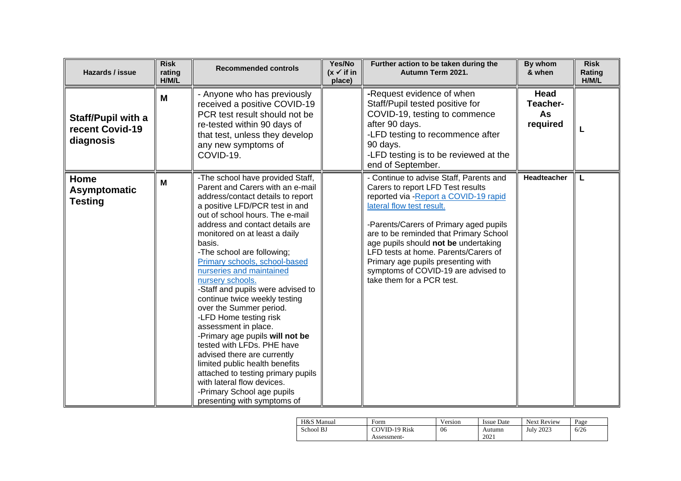| Hazards / issue                                           | <b>Risk</b><br>rating<br>H/M/L | <b>Recommended controls</b>                                                                                                                                                                                                                                                                                                                                                                                                                                                                                                                                                                                                                                                                                                                                                                       | Yes/No<br>$(x \checkmark)$ if in<br>place) | Further action to be taken during the<br>Autumn Term 2021.                                                                                                                                                                                                                                                                                                                                                                        | By whom<br>& when                  | <b>Risk</b><br>Rating<br>H/M/L |
|-----------------------------------------------------------|--------------------------------|---------------------------------------------------------------------------------------------------------------------------------------------------------------------------------------------------------------------------------------------------------------------------------------------------------------------------------------------------------------------------------------------------------------------------------------------------------------------------------------------------------------------------------------------------------------------------------------------------------------------------------------------------------------------------------------------------------------------------------------------------------------------------------------------------|--------------------------------------------|-----------------------------------------------------------------------------------------------------------------------------------------------------------------------------------------------------------------------------------------------------------------------------------------------------------------------------------------------------------------------------------------------------------------------------------|------------------------------------|--------------------------------|
| <b>Staff/Pupil with a</b><br>recent Covid-19<br>diagnosis | M                              | - Anyone who has previously<br>received a positive COVID-19<br>PCR test result should not be<br>re-tested within 90 days of<br>that test, unless they develop<br>any new symptoms of<br>COVID-19.                                                                                                                                                                                                                                                                                                                                                                                                                                                                                                                                                                                                 |                                            | -Request evidence of when<br>Staff/Pupil tested positive for<br>COVID-19, testing to commence<br>after 90 days.<br>-LFD testing to recommence after<br>90 days.<br>-LFD testing is to be reviewed at the<br>end of September.                                                                                                                                                                                                     | Head<br>Teacher-<br>As<br>required | L                              |
| Home<br><b>Asymptomatic</b><br><b>Testing</b>             | M                              | -The school have provided Staff,<br>Parent and Carers with an e-mail<br>address/contact details to report<br>a positive LFD/PCR test in and<br>out of school hours. The e-mail<br>address and contact details are<br>monitored on at least a daily<br>basis.<br>-The school are following;<br>Primary schools, school-based<br>nurseries and maintained<br>nursery schools.<br>-Staff and pupils were advised to<br>continue twice weekly testing<br>over the Summer period.<br>-LFD Home testing risk<br>assessment in place.<br>-Primary age pupils will not be<br>tested with LFDs. PHE have<br>advised there are currently<br>limited public health benefits<br>attached to testing primary pupils<br>with lateral flow devices.<br>-Primary School age pupils<br>presenting with symptoms of |                                            | - Continue to advise Staff, Parents and<br>Carers to report LFD Test results<br>reported via - Report a COVID-19 rapid<br>lateral flow test result.<br>-Parents/Carers of Primary aged pupils<br>are to be reminded that Primary School<br>age pupils should not be undertaking<br>LFD tests at home. Parents/Carers of<br>Primary age pupils presenting with<br>symptoms of COVID-19 are advised to<br>take them for a PCR test. | Headteacher                        | L                              |

| H&S Manual | Form          | Version | <b>Issue Date</b> | <b>Next Review</b> | Page |
|------------|---------------|---------|-------------------|--------------------|------|
| School BJ  | COVID-19 Risk | 06      | Autumn            | 2023<br>July       | 6/26 |
|            | Assessment-   |         | 2021              |                    |      |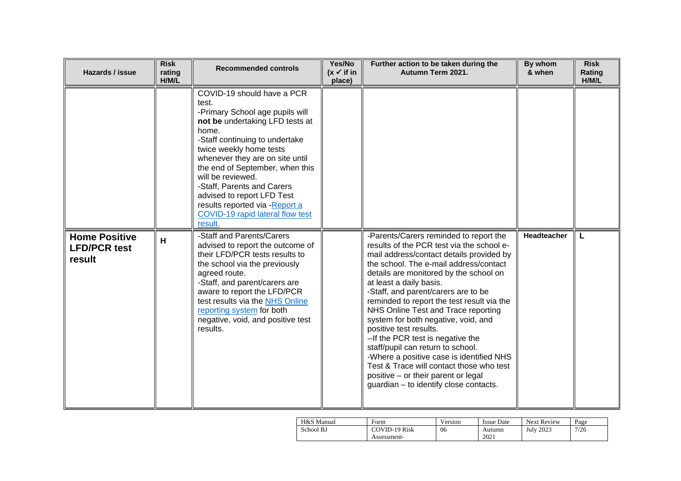| Hazards / issue                                       | <b>Risk</b><br>rating<br>H/M/L | <b>Recommended controls</b>                                                                                                                                                                                                                                                                                                                                                                                              | Yes/No<br>$(x \checkmark)$ if in<br>place) | Further action to be taken during the<br>Autumn Term 2021.                                                                                                                                                                                                                                                                                                                                                                                                                                                                                                                                                                                                                                      | By whom<br>& when  | <b>Risk</b><br>Rating<br>H/M/L |
|-------------------------------------------------------|--------------------------------|--------------------------------------------------------------------------------------------------------------------------------------------------------------------------------------------------------------------------------------------------------------------------------------------------------------------------------------------------------------------------------------------------------------------------|--------------------------------------------|-------------------------------------------------------------------------------------------------------------------------------------------------------------------------------------------------------------------------------------------------------------------------------------------------------------------------------------------------------------------------------------------------------------------------------------------------------------------------------------------------------------------------------------------------------------------------------------------------------------------------------------------------------------------------------------------------|--------------------|--------------------------------|
|                                                       |                                | COVID-19 should have a PCR<br>test.<br>-Primary School age pupils will<br>not be undertaking LFD tests at<br>home.<br>-Staff continuing to undertake<br>twice weekly home tests<br>whenever they are on site until<br>the end of September, when this<br>will be reviewed.<br>-Staff, Parents and Carers<br>advised to report LFD Test<br>results reported via - Report a<br>COVID-19 rapid lateral flow test<br>result. |                                            |                                                                                                                                                                                                                                                                                                                                                                                                                                                                                                                                                                                                                                                                                                 |                    |                                |
| <b>Home Positive</b><br><b>LFD/PCR test</b><br>result | H                              | -Staff and Parents/Carers<br>advised to report the outcome of<br>their LFD/PCR tests results to<br>the school via the previously<br>agreed route.<br>-Staff, and parent/carers are<br>aware to report the LFD/PCR<br>test results via the NHS Online<br>reporting system for both<br>negative, void, and positive test<br>results.                                                                                       |                                            | -Parents/Carers reminded to report the<br>results of the PCR test via the school e-<br>mail address/contact details provided by<br>the school. The e-mail address/contact<br>details are monitored by the school on<br>at least a daily basis.<br>-Staff, and parent/carers are to be<br>reminded to report the test result via the<br>NHS Online Test and Trace reporting<br>system for both negative, void, and<br>positive test results.<br>-- If the PCR test is negative the<br>staff/pupil can return to school.<br>-Where a positive case is identified NHS<br>Test & Trace will contact those who test<br>positive - or their parent or legal<br>guardian - to identify close contacts. | <b>Headteacher</b> | L                              |

| H&S Manual | Form          | Version | <b>Issue Date</b> | <b>Next Review</b> | Page |
|------------|---------------|---------|-------------------|--------------------|------|
| School BJ  | COVID-19 Risk | 06      | Autumn            | <b>July 2023</b>   | 7/26 |
|            | Assessment-   |         | 2021              |                    |      |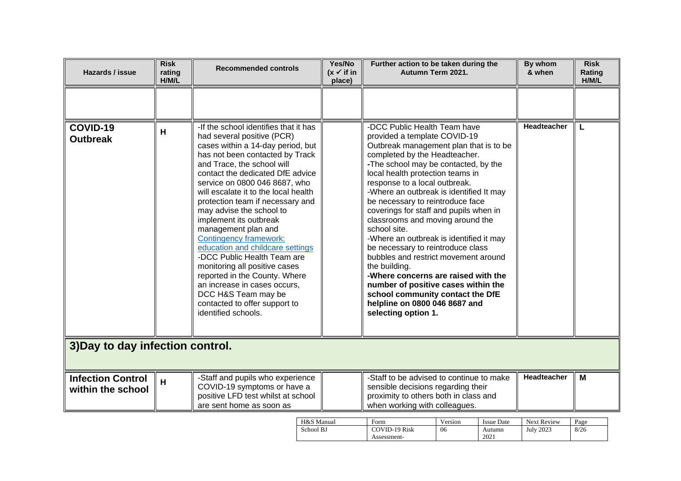| Hazards / issue                               | <b>Risk</b><br>rating<br>H/M/L | <b>Recommended controls</b>                                                                                                                                                                                                                                                                                                                                                                                                                                                                                                                                                                                                                                                                  | Yes/No<br>$(x \vee$ if in<br>place) | Further action to be taken during the<br>Autumn Term 2021.                                                                                                                                                                                                                                                                                                                                                                                                                                                                                                                                                                                                                                                                                           |               |                             | By whom<br>& when               | <b>Risk</b><br>Rating<br>H/M/L |
|-----------------------------------------------|--------------------------------|----------------------------------------------------------------------------------------------------------------------------------------------------------------------------------------------------------------------------------------------------------------------------------------------------------------------------------------------------------------------------------------------------------------------------------------------------------------------------------------------------------------------------------------------------------------------------------------------------------------------------------------------------------------------------------------------|-------------------------------------|------------------------------------------------------------------------------------------------------------------------------------------------------------------------------------------------------------------------------------------------------------------------------------------------------------------------------------------------------------------------------------------------------------------------------------------------------------------------------------------------------------------------------------------------------------------------------------------------------------------------------------------------------------------------------------------------------------------------------------------------------|---------------|-----------------------------|---------------------------------|--------------------------------|
|                                               |                                |                                                                                                                                                                                                                                                                                                                                                                                                                                                                                                                                                                                                                                                                                              |                                     |                                                                                                                                                                                                                                                                                                                                                                                                                                                                                                                                                                                                                                                                                                                                                      |               |                             |                                 |                                |
| COVID-19<br><b>Outbreak</b>                   | H                              | -If the school identifies that it has<br>had several positive (PCR)<br>cases within a 14-day period, but<br>has not been contacted by Track<br>and Trace, the school will<br>contact the dedicated DfE advice<br>service on 0800 046 8687, who<br>will escalate it to the local health<br>protection team if necessary and<br>may advise the school to<br>implement its outbreak<br>management plan and<br><b>Contingency framework:</b><br>education and childcare settings<br>-DCC Public Health Team are<br>monitoring all positive cases<br>reported in the County. Where<br>an increase in cases occurs,<br>DCC H&S Team may be<br>contacted to offer support to<br>identified schools. |                                     | -DCC Public Health Team have<br>provided a template COVID-19<br>Outbreak management plan that is to be<br>completed by the Headteacher.<br>-The school may be contacted, by the<br>local health protection teams in<br>response to a local outbreak.<br>-Where an outbreak is identified It may<br>be necessary to reintroduce face<br>coverings for staff and pupils when in<br>classrooms and moving around the<br>school site.<br>-Where an outbreak is identified it may<br>be necessary to reintroduce class<br>bubbles and restrict movement around<br>the building.<br>-Where concerns are raised with the<br>number of positive cases within the<br>school community contact the DfE<br>helpline on 0800 046 8687 and<br>selecting option 1. |               |                             | Headteacher                     | L                              |
| 3) Day to day infection control.              |                                |                                                                                                                                                                                                                                                                                                                                                                                                                                                                                                                                                                                                                                                                                              |                                     |                                                                                                                                                                                                                                                                                                                                                                                                                                                                                                                                                                                                                                                                                                                                                      |               |                             |                                 |                                |
| <b>Infection Control</b><br>within the school | H                              | -Staff and pupils who experience<br>COVID-19 symptoms or have a<br>positive LFD test whilst at school<br>are sent home as soon as                                                                                                                                                                                                                                                                                                                                                                                                                                                                                                                                                            |                                     | -Staff to be advised to continue to make<br>sensible decisions regarding their<br>proximity to others both in class and<br>when working with colleagues.                                                                                                                                                                                                                                                                                                                                                                                                                                                                                                                                                                                             |               |                             | Headteacher                     | M                              |
|                                               |                                | H&S Manual<br>School BJ                                                                                                                                                                                                                                                                                                                                                                                                                                                                                                                                                                                                                                                                      |                                     | Form<br><b>COVID-19 Risk</b>                                                                                                                                                                                                                                                                                                                                                                                                                                                                                                                                                                                                                                                                                                                         | Version<br>06 | <b>Issue Date</b><br>Autumn | Next Review<br><b>July 2023</b> | Page<br>8/26                   |

Assessment-

2021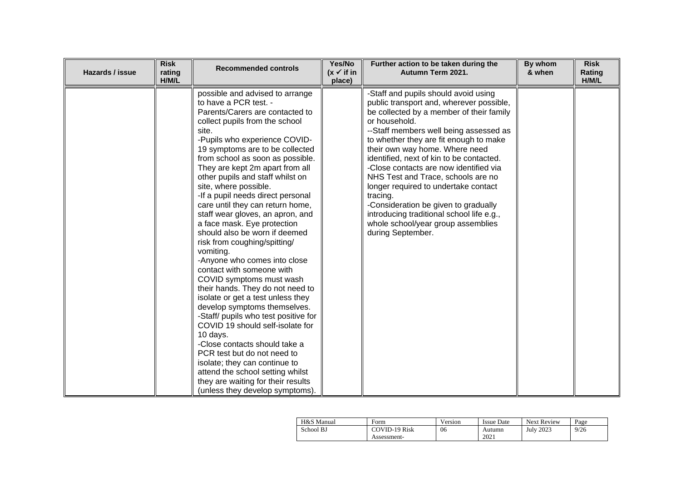| Hazards / issue | <b>Risk</b><br>rating<br>H/M/L | <b>Recommended controls</b>                                                                                                                                                                                                                                                                                                                                                                                                                                                                                                                                                                                                                                                                                                                                                                                                                                                                                                                                                                                                                                                      | Yes/No<br>$(x \vee$ if in<br>place) | Further action to be taken during the<br>Autumn Term 2021.                                                                                                                                                                                                                                                                                                                                                                                                                                                                                                                                          | By whom<br>& when | <b>Risk</b><br>Rating<br>H/M/L |
|-----------------|--------------------------------|----------------------------------------------------------------------------------------------------------------------------------------------------------------------------------------------------------------------------------------------------------------------------------------------------------------------------------------------------------------------------------------------------------------------------------------------------------------------------------------------------------------------------------------------------------------------------------------------------------------------------------------------------------------------------------------------------------------------------------------------------------------------------------------------------------------------------------------------------------------------------------------------------------------------------------------------------------------------------------------------------------------------------------------------------------------------------------|-------------------------------------|-----------------------------------------------------------------------------------------------------------------------------------------------------------------------------------------------------------------------------------------------------------------------------------------------------------------------------------------------------------------------------------------------------------------------------------------------------------------------------------------------------------------------------------------------------------------------------------------------------|-------------------|--------------------------------|
|                 |                                | possible and advised to arrange<br>to have a PCR test. -<br>Parents/Carers are contacted to<br>collect pupils from the school<br>site.<br>-Pupils who experience COVID-<br>19 symptoms are to be collected<br>from school as soon as possible.<br>They are kept 2m apart from all<br>other pupils and staff whilst on<br>site, where possible.<br>-If a pupil needs direct personal<br>care until they can return home,<br>staff wear gloves, an apron, and<br>a face mask. Eye protection<br>should also be worn if deemed<br>risk from coughing/spitting/<br>vomiting.<br>-Anyone who comes into close<br>contact with someone with<br>COVID symptoms must wash<br>their hands. They do not need to<br>isolate or get a test unless they<br>develop symptoms themselves.<br>-Staff/ pupils who test positive for<br>COVID 19 should self-isolate for<br>10 days.<br>-Close contacts should take a<br>PCR test but do not need to<br>isolate; they can continue to<br>attend the school setting whilst<br>they are waiting for their results<br>(unless they develop symptoms). |                                     | -Staff and pupils should avoid using<br>public transport and, wherever possible,<br>be collected by a member of their family<br>or household.<br>--Staff members well being assessed as<br>to whether they are fit enough to make<br>their own way home. Where need<br>identified, next of kin to be contacted.<br>-Close contacts are now identified via<br>NHS Test and Trace, schools are no<br>longer required to undertake contact<br>tracing.<br>-Consideration be given to gradually<br>introducing traditional school life e.g.,<br>whole school/year group assemblies<br>during September. |                   |                                |

| H&S Manual | Form                 | Version | <b>Issue Date</b> | <b>Next Review</b> | Page |
|------------|----------------------|---------|-------------------|--------------------|------|
| School BJ  | <b>COVID-19 Risk</b> | 06      | Autumn            | July 2023          | 9/26 |
|            | Assessment-          |         | 2021              |                    |      |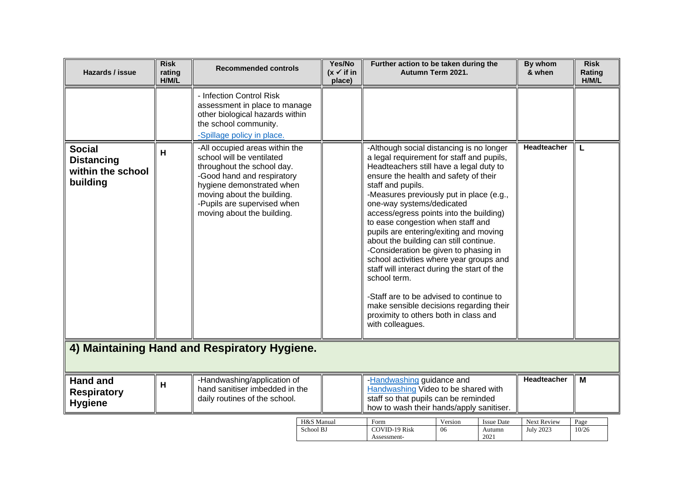| Hazards / issue                                                     | <b>Risk</b><br>rating<br>H/M/L | <b>Recommended controls</b>                                                                                                                                                                                                                     | Yes/No<br>$(x \checkmark)$ if in<br>place) | Further action to be taken during the<br>Autumn Term 2021.                                                                                                                                                                                                                                                                                                                                                                                                                                                                                                                                                                                                                                                                                        |                                     | By whom<br>& when               | <b>Risk</b><br>Rating<br>H/M/L |
|---------------------------------------------------------------------|--------------------------------|-------------------------------------------------------------------------------------------------------------------------------------------------------------------------------------------------------------------------------------------------|--------------------------------------------|---------------------------------------------------------------------------------------------------------------------------------------------------------------------------------------------------------------------------------------------------------------------------------------------------------------------------------------------------------------------------------------------------------------------------------------------------------------------------------------------------------------------------------------------------------------------------------------------------------------------------------------------------------------------------------------------------------------------------------------------------|-------------------------------------|---------------------------------|--------------------------------|
|                                                                     |                                | - Infection Control Risk<br>assessment in place to manage<br>other biological hazards within<br>the school community.<br>-Spillage policy in place.                                                                                             |                                            |                                                                                                                                                                                                                                                                                                                                                                                                                                                                                                                                                                                                                                                                                                                                                   |                                     |                                 |                                |
| <b>Social</b><br><b>Distancing</b><br>within the school<br>building | H                              | -All occupied areas within the<br>school will be ventilated<br>throughout the school day.<br>-Good hand and respiratory<br>hygiene demonstrated when<br>moving about the building.<br>-Pupils are supervised when<br>moving about the building. |                                            | -Although social distancing is no longer<br>a legal requirement for staff and pupils,<br>Headteachers still have a legal duty to<br>ensure the health and safety of their<br>staff and pupils.<br>-Measures previously put in place (e.g.,<br>one-way systems/dedicated<br>access/egress points into the building)<br>to ease congestion when staff and<br>pupils are entering/exiting and moving<br>about the building can still continue.<br>-Consideration be given to phasing in<br>school activities where year groups and<br>staff will interact during the start of the<br>school term.<br>-Staff are to be advised to continue to<br>make sensible decisions regarding their<br>proximity to others both in class and<br>with colleagues. | Headteacher                         |                                 |                                |
|                                                                     |                                | 4) Maintaining Hand and Respiratory Hygiene.                                                                                                                                                                                                    |                                            |                                                                                                                                                                                                                                                                                                                                                                                                                                                                                                                                                                                                                                                                                                                                                   |                                     |                                 |                                |
| <b>Hand and</b><br><b>Respiratory</b><br><b>Hygiene</b>             | H                              | -Handwashing/application of<br>hand sanitiser imbedded in the<br>daily routines of the school.                                                                                                                                                  |                                            | -Handwashing guidance and<br>Handwashing Video to be shared with<br>staff so that pupils can be reminded<br>how to wash their hands/apply sanitiser.                                                                                                                                                                                                                                                                                                                                                                                                                                                                                                                                                                                              | Headteacher                         | M                               |                                |
|                                                                     |                                |                                                                                                                                                                                                                                                 | H&S Manual<br>School BJ                    | Version<br>Form<br><b>COVID-19 Risk</b><br>06<br>Assessment-                                                                                                                                                                                                                                                                                                                                                                                                                                                                                                                                                                                                                                                                                      | <b>Issue Date</b><br>Autumn<br>2021 | Next Review<br><b>July 2023</b> | Page<br>10/26                  |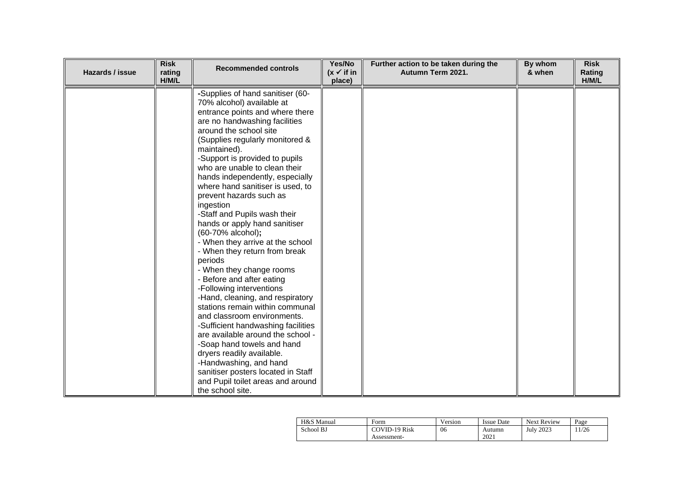| Hazards / issue | <b>Risk</b><br>rating<br>H/M/L | <b>Recommended controls</b>                                                                                                                                                                                                                                                                                                                                                                                                                                                                                                                                                                                                                                                                                                                                                                                                                                                                                                                                                                                                      | Yes/No<br>$(x \vee$ if in<br>place) | Further action to be taken during the<br>Autumn Term 2021. | By whom<br>& when | <b>Risk</b><br>Rating<br>H/M/L |
|-----------------|--------------------------------|----------------------------------------------------------------------------------------------------------------------------------------------------------------------------------------------------------------------------------------------------------------------------------------------------------------------------------------------------------------------------------------------------------------------------------------------------------------------------------------------------------------------------------------------------------------------------------------------------------------------------------------------------------------------------------------------------------------------------------------------------------------------------------------------------------------------------------------------------------------------------------------------------------------------------------------------------------------------------------------------------------------------------------|-------------------------------------|------------------------------------------------------------|-------------------|--------------------------------|
|                 |                                | -Supplies of hand sanitiser (60-<br>70% alcohol) available at<br>entrance points and where there<br>are no handwashing facilities<br>around the school site<br>(Supplies regularly monitored &<br>maintained).<br>-Support is provided to pupils<br>who are unable to clean their<br>hands independently, especially<br>where hand sanitiser is used, to<br>prevent hazards such as<br>ingestion<br>-Staff and Pupils wash their<br>hands or apply hand sanitiser<br>(60-70% alcohol);<br>- When they arrive at the school<br>- When they return from break<br>periods<br>- When they change rooms<br>- Before and after eating<br>-Following interventions<br>-Hand, cleaning, and respiratory<br>stations remain within communal<br>and classroom environments.<br>-Sufficient handwashing facilities<br>are available around the school -<br>-Soap hand towels and hand<br>dryers readily available.<br>-Handwashing, and hand<br>sanitiser posters located in Staff<br>and Pupil toilet areas and around<br>the school site. |                                     |                                                            |                   |                                |

| H&S Manual | Form                 | Version | <b>Issue Date</b> | <b>Next Review</b> | Page |
|------------|----------------------|---------|-------------------|--------------------|------|
| School BJ  | <b>COVID-19 Risk</b> | 06      | Autumn            | July 2023          | 1/26 |
|            | Assessment-          |         | 2021              |                    |      |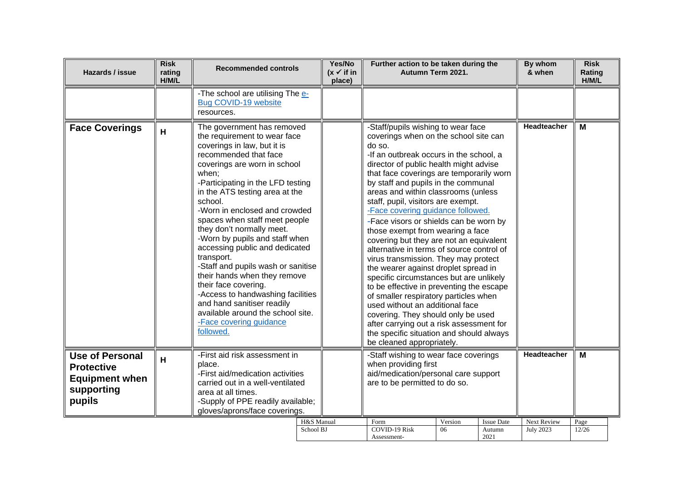| Hazards / issue                                                                              | <b>Risk</b><br>rating<br>H/M/L | <b>Recommended controls</b>                                                                                                                                                                                                                                                                                                                                                                                                                                                                                                                                                                                                                                                  | Yes/No<br>$(x \vee$ if in<br>place) | Further action to be taken during the<br>Autumn Term 2021.                                                                                                                                                                                                                                                                                                                                                                                                                                                                                                                                                                                                                                                                                                                                                                                                                                                                                                          |               |                                     | By whom<br>& when               | <b>Risk</b><br>Rating<br>H/M/L |  |
|----------------------------------------------------------------------------------------------|--------------------------------|------------------------------------------------------------------------------------------------------------------------------------------------------------------------------------------------------------------------------------------------------------------------------------------------------------------------------------------------------------------------------------------------------------------------------------------------------------------------------------------------------------------------------------------------------------------------------------------------------------------------------------------------------------------------------|-------------------------------------|---------------------------------------------------------------------------------------------------------------------------------------------------------------------------------------------------------------------------------------------------------------------------------------------------------------------------------------------------------------------------------------------------------------------------------------------------------------------------------------------------------------------------------------------------------------------------------------------------------------------------------------------------------------------------------------------------------------------------------------------------------------------------------------------------------------------------------------------------------------------------------------------------------------------------------------------------------------------|---------------|-------------------------------------|---------------------------------|--------------------------------|--|
|                                                                                              |                                | -The school are utilising The e-<br>Bug COVID-19 website<br>resources.                                                                                                                                                                                                                                                                                                                                                                                                                                                                                                                                                                                                       |                                     |                                                                                                                                                                                                                                                                                                                                                                                                                                                                                                                                                                                                                                                                                                                                                                                                                                                                                                                                                                     |               |                                     |                                 |                                |  |
| <b>Face Coverings</b>                                                                        | H                              | The government has removed<br>the requirement to wear face<br>coverings in law, but it is<br>recommended that face<br>coverings are worn in school<br>when;<br>-Participating in the LFD testing<br>in the ATS testing area at the<br>school.<br>-Worn in enclosed and crowded<br>spaces when staff meet people<br>they don't normally meet.<br>-Worn by pupils and staff when<br>accessing public and dedicated<br>transport.<br>-Staff and pupils wash or sanitise<br>their hands when they remove<br>their face covering.<br>-Access to handwashing facilities<br>and hand sanitiser readily<br>available around the school site.<br>-Face covering guidance<br>followed. |                                     | -Staff/pupils wishing to wear face<br>coverings when on the school site can<br>do so.<br>-If an outbreak occurs in the school, a<br>director of public health might advise<br>that face coverings are temporarily worn<br>by staff and pupils in the communal<br>areas and within classrooms (unless<br>staff, pupil, visitors are exempt.<br>-Face covering guidance followed.<br>-Face visors or shields can be worn by<br>those exempt from wearing a face<br>covering but they are not an equivalent<br>alternative in terms of source control of<br>virus transmission. They may protect<br>the wearer against droplet spread in<br>specific circumstances but are unlikely<br>to be effective in preventing the escape<br>of smaller respiratory particles when<br>used without an additional face<br>covering. They should only be used<br>after carrying out a risk assessment for<br>the specific situation and should always<br>be cleaned appropriately. |               |                                     | Headteacher                     | M                              |  |
| <b>Use of Personal</b><br><b>Protective</b><br><b>Equipment when</b><br>supporting<br>pupils | H                              | -First aid risk assessment in<br>place.<br>-First aid/medication activities<br>carried out in a well-ventilated<br>area at all times.<br>-Supply of PPE readily available;<br>gloves/aprons/face coverings.                                                                                                                                                                                                                                                                                                                                                                                                                                                                  |                                     | -Staff wishing to wear face coverings<br>when providing first<br>aid/medication/personal care support<br>are to be permitted to do so.                                                                                                                                                                                                                                                                                                                                                                                                                                                                                                                                                                                                                                                                                                                                                                                                                              |               |                                     | Headteacher                     | M                              |  |
|                                                                                              |                                | H&S Manual<br>School BJ                                                                                                                                                                                                                                                                                                                                                                                                                                                                                                                                                                                                                                                      |                                     | Form<br><b>COVID-19 Risk</b><br>Assessment-                                                                                                                                                                                                                                                                                                                                                                                                                                                                                                                                                                                                                                                                                                                                                                                                                                                                                                                         | Version<br>06 | <b>Issue Date</b><br>Autumn<br>2021 | Next Review<br><b>July 2023</b> | Page<br>12/26                  |  |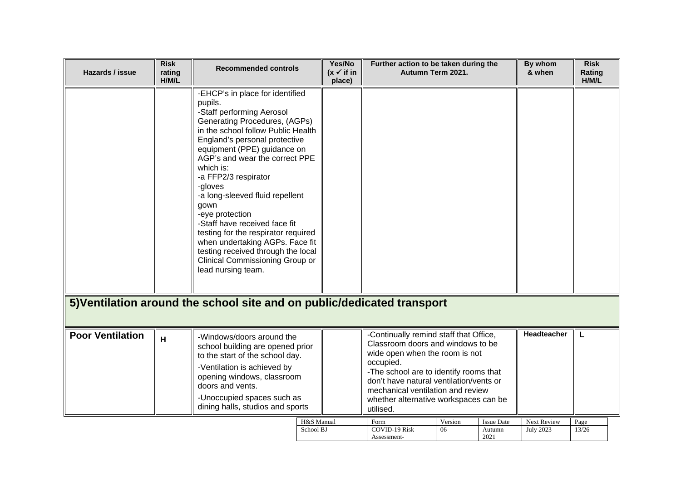| Hazards / issue         | <b>Risk</b><br>rating<br>H/M/L | <b>Recommended controls</b>                                                                                                                                                                                                                                                                                                                                                                                                                                                                                                                                              | Yes/No<br>$(x \vee$ if in<br>place) | Further action to be taken during the<br>Autumn Term 2021.                                                                                                                                                                                                                                                 |               |                                     | By whom<br>& when               | <b>Risk</b><br>Rating<br>H/M/L |
|-------------------------|--------------------------------|--------------------------------------------------------------------------------------------------------------------------------------------------------------------------------------------------------------------------------------------------------------------------------------------------------------------------------------------------------------------------------------------------------------------------------------------------------------------------------------------------------------------------------------------------------------------------|-------------------------------------|------------------------------------------------------------------------------------------------------------------------------------------------------------------------------------------------------------------------------------------------------------------------------------------------------------|---------------|-------------------------------------|---------------------------------|--------------------------------|
|                         |                                | -EHCP's in place for identified<br>pupils.<br>-Staff performing Aerosol<br>Generating Procedures, (AGPs)<br>in the school follow Public Health<br>England's personal protective<br>equipment (PPE) guidance on<br>AGP's and wear the correct PPE<br>which is:<br>-a FFP2/3 respirator<br>-gloves<br>-a long-sleeved fluid repellent<br>gown<br>-eye protection<br>-Staff have received face fit<br>testing for the respirator required<br>when undertaking AGPs. Face fit<br>testing received through the local<br>Clinical Commissioning Group or<br>lead nursing team. |                                     |                                                                                                                                                                                                                                                                                                            |               |                                     |                                 |                                |
|                         |                                | 5) Ventilation around the school site and on public/dedicated transport                                                                                                                                                                                                                                                                                                                                                                                                                                                                                                  |                                     |                                                                                                                                                                                                                                                                                                            |               |                                     |                                 |                                |
| <b>Poor Ventilation</b> | H                              | -Windows/doors around the<br>school building are opened prior<br>to the start of the school day.<br>-Ventilation is achieved by<br>opening windows, classroom<br>doors and vents.<br>-Unoccupied spaces such as<br>dining halls, studios and sports                                                                                                                                                                                                                                                                                                                      |                                     | -Continually remind staff that Office,<br>Classroom doors and windows to be<br>wide open when the room is not<br>occupied.<br>-The school are to identify rooms that<br>don't have natural ventilation/vents or<br>mechanical ventilation and review<br>whether alternative workspaces can be<br>utilised. |               |                                     | <b>Headteacher</b>              | L                              |
|                         |                                | H&S Manual<br>School BJ                                                                                                                                                                                                                                                                                                                                                                                                                                                                                                                                                  |                                     | Form<br><b>COVID-19 Risk</b><br>Assessment-                                                                                                                                                                                                                                                                | Version<br>06 | <b>Issue Date</b><br>Autumn<br>2021 | Next Review<br><b>July 2023</b> | Page<br>13/26                  |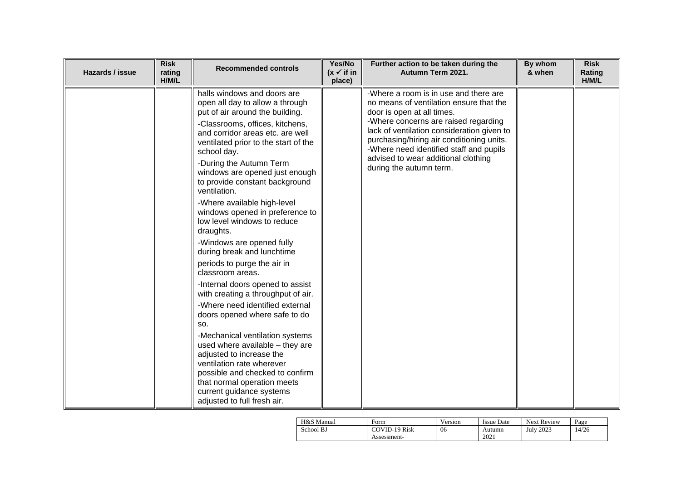| Hazards / issue | <b>Risk</b><br>rating<br>H/M/L | <b>Recommended controls</b>                                                                                                                                                                                                                                                                                                                                                                                                                                                                                                                                                                                                                                                                                                                                                                                                                                                                                                                                                                 | Yes/No<br>$(x \vee$ if in<br>place) | Further action to be taken during the<br>Autumn Term 2021.                                                                                                                                                                                                                                                                                                     | By whom<br>& when | <b>Risk</b><br>Rating<br>H/M/L |
|-----------------|--------------------------------|---------------------------------------------------------------------------------------------------------------------------------------------------------------------------------------------------------------------------------------------------------------------------------------------------------------------------------------------------------------------------------------------------------------------------------------------------------------------------------------------------------------------------------------------------------------------------------------------------------------------------------------------------------------------------------------------------------------------------------------------------------------------------------------------------------------------------------------------------------------------------------------------------------------------------------------------------------------------------------------------|-------------------------------------|----------------------------------------------------------------------------------------------------------------------------------------------------------------------------------------------------------------------------------------------------------------------------------------------------------------------------------------------------------------|-------------------|--------------------------------|
|                 |                                | halls windows and doors are<br>open all day to allow a through<br>put of air around the building.<br>-Classrooms, offices, kitchens,<br>and corridor areas etc. are well<br>ventilated prior to the start of the<br>school day.<br>-During the Autumn Term<br>windows are opened just enough<br>to provide constant background<br>ventilation.<br>-Where available high-level<br>windows opened in preference to<br>low level windows to reduce<br>draughts.<br>-Windows are opened fully<br>during break and lunchtime<br>periods to purge the air in<br>classroom areas.<br>-Internal doors opened to assist<br>with creating a throughput of air.<br>-Where need identified external<br>doors opened where safe to do<br>SO.<br>-Mechanical ventilation systems<br>used where available - they are<br>adjusted to increase the<br>ventilation rate wherever<br>possible and checked to confirm<br>that normal operation meets<br>current guidance systems<br>adjusted to full fresh air. |                                     | -Where a room is in use and there are<br>no means of ventilation ensure that the<br>door is open at all times.<br>-Where concerns are raised regarding<br>lack of ventilation consideration given to<br>purchasing/hiring air conditioning units.<br>-Where need identified staff and pupils<br>advised to wear additional clothing<br>during the autumn term. |                   |                                |

| H&S Manual | Form          | Version | Issue Date | <b>Next Review</b> | Page  |
|------------|---------------|---------|------------|--------------------|-------|
| School BJ  | COVID-19 Risk | 06      | Autumn     | July 2023          | 14/26 |
|            | Assessment-   |         | 2021       |                    |       |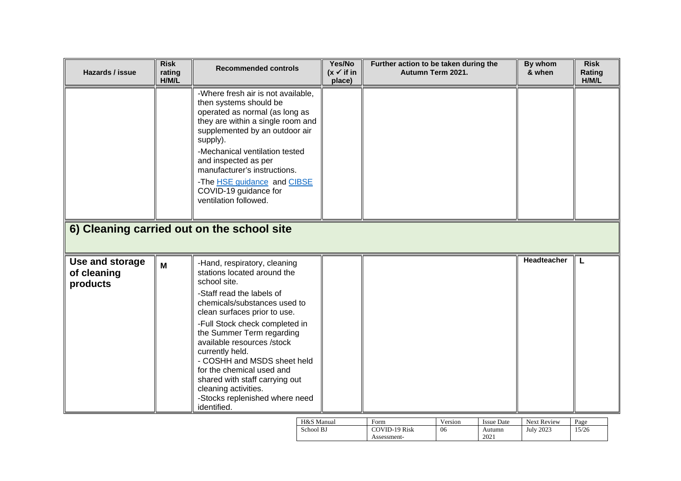| Hazards / issue                            | <b>Risk</b><br>rating<br>H/M/L | <b>Recommended controls</b>                                                                                                                                                                                                                                                                                                                                                                                                                                     | Yes/No<br>$(x \vee$ if in<br>place) | Further action to be taken during the<br>Autumn Term 2021. | By whom<br>& when  | <b>Risk</b><br>Rating<br>H/M/L |
|--------------------------------------------|--------------------------------|-----------------------------------------------------------------------------------------------------------------------------------------------------------------------------------------------------------------------------------------------------------------------------------------------------------------------------------------------------------------------------------------------------------------------------------------------------------------|-------------------------------------|------------------------------------------------------------|--------------------|--------------------------------|
|                                            |                                | -Where fresh air is not available,<br>then systems should be<br>operated as normal (as long as<br>they are within a single room and<br>supplemented by an outdoor air<br>supply).<br>-Mechanical ventilation tested<br>and inspected as per<br>manufacturer's instructions.<br>-The HSE guidance and CIBSE<br>COVID-19 guidance for<br>ventilation followed.                                                                                                    |                                     |                                                            |                    |                                |
|                                            |                                | 6) Cleaning carried out on the school site                                                                                                                                                                                                                                                                                                                                                                                                                      |                                     |                                                            |                    |                                |
| Use and storage<br>of cleaning<br>products | M                              | -Hand, respiratory, cleaning<br>stations located around the<br>school site.<br>-Staff read the labels of<br>chemicals/substances used to<br>clean surfaces prior to use.<br>-Full Stock check completed in<br>the Summer Term regarding<br>available resources /stock<br>currently held.<br>- COSHH and MSDS sheet held<br>for the chemical used and<br>shared with staff carrying out<br>cleaning activities.<br>-Stocks replenished where need<br>identified. |                                     |                                                            | <b>Headteacher</b> | L                              |

| H&S Manual | $\pm$ orm     | Version | <b>Issue Date</b> | <b>Next Review</b> | Page  |
|------------|---------------|---------|-------------------|--------------------|-------|
| School BJ  | COVID-19 Risk | 06      | Autumn            | <b>July 2023</b>   | 15/26 |
|            | Assessment-   |         | 2021              |                    |       |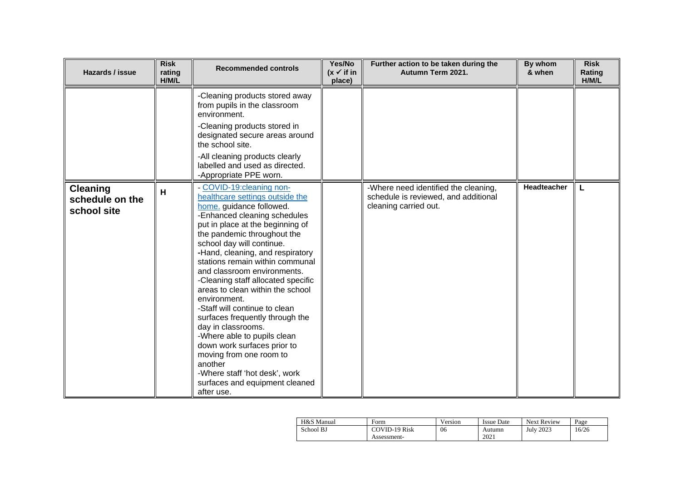| Hazards / issue                                   | <b>Risk</b><br>rating<br>H/M/L | <b>Recommended controls</b>                                                                                                                                                                                                                                                                                                                                                                                                                                                                                                                                                                                                                                                                            | Yes/No<br>$(x \vee$ if in<br>place) | Further action to be taken during the<br>Autumn Term 2021.                                            | By whom<br>& when | <b>Risk</b><br>Rating<br>H/M/L |
|---------------------------------------------------|--------------------------------|--------------------------------------------------------------------------------------------------------------------------------------------------------------------------------------------------------------------------------------------------------------------------------------------------------------------------------------------------------------------------------------------------------------------------------------------------------------------------------------------------------------------------------------------------------------------------------------------------------------------------------------------------------------------------------------------------------|-------------------------------------|-------------------------------------------------------------------------------------------------------|-------------------|--------------------------------|
|                                                   |                                | -Cleaning products stored away<br>from pupils in the classroom<br>environment.<br>-Cleaning products stored in<br>designated secure areas around<br>the school site.<br>-All cleaning products clearly<br>labelled and used as directed.<br>-Appropriate PPE worn.                                                                                                                                                                                                                                                                                                                                                                                                                                     |                                     |                                                                                                       |                   |                                |
| <b>Cleaning</b><br>schedule on the<br>school site | H                              | - COVID-19:cleaning non-<br>healthcare settings outside the<br>home. guidance followed.<br>-Enhanced cleaning schedules<br>put in place at the beginning of<br>the pandemic throughout the<br>school day will continue.<br>-Hand, cleaning, and respiratory<br>stations remain within communal<br>and classroom environments.<br>-Cleaning staff allocated specific<br>areas to clean within the school<br>environment.<br>-Staff will continue to clean<br>surfaces frequently through the<br>day in classrooms.<br>-Where able to pupils clean<br>down work surfaces prior to<br>moving from one room to<br>another<br>-Where staff 'hot desk', work<br>surfaces and equipment cleaned<br>after use. |                                     | -Where need identified the cleaning,<br>schedule is reviewed, and additional<br>cleaning carried out. | Headteacher       |                                |

| H&S Manual | Form                 | Version | <b>Issue Date</b> | <b>Next Review</b> | Page  |
|------------|----------------------|---------|-------------------|--------------------|-------|
| School BJ  | <b>COVID-19 Risk</b> | 06      | Autumn            | <b>July 2023</b>   | 16/26 |
|            | Assessment-          |         | 2021              |                    |       |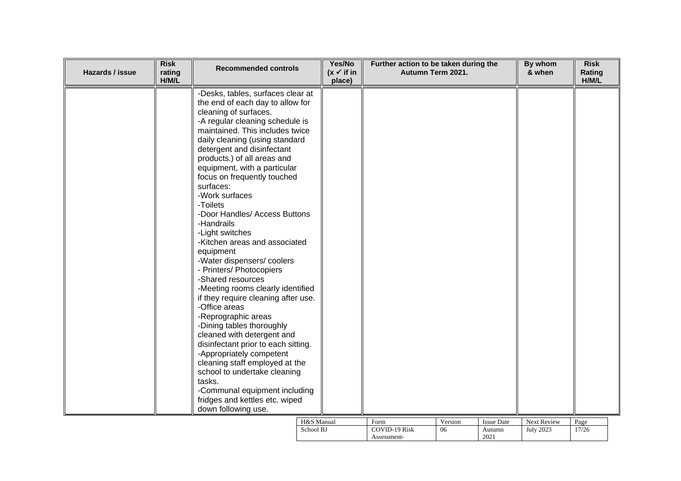| <b>Risk</b><br>Hazards / issue<br>rating<br>H/M/L | <b>Recommended controls</b>                                                                                                                                                                                                                                                                                                                                                                                                                                                                                                                                                                                                                                                                                                                                                                                                                                                                                                                                                                         | Yes/No<br>$(x \checkmark)$ if in<br>place) | Further action to be taken during the | Autumn Term 2021. |                             | By whom<br>& when               | <b>Risk</b><br>Rating<br>H/M/L |
|---------------------------------------------------|-----------------------------------------------------------------------------------------------------------------------------------------------------------------------------------------------------------------------------------------------------------------------------------------------------------------------------------------------------------------------------------------------------------------------------------------------------------------------------------------------------------------------------------------------------------------------------------------------------------------------------------------------------------------------------------------------------------------------------------------------------------------------------------------------------------------------------------------------------------------------------------------------------------------------------------------------------------------------------------------------------|--------------------------------------------|---------------------------------------|-------------------|-----------------------------|---------------------------------|--------------------------------|
|                                                   | -Desks, tables, surfaces clear at<br>the end of each day to allow for<br>cleaning of surfaces.<br>-A regular cleaning schedule is<br>maintained. This includes twice<br>daily cleaning (using standard<br>detergent and disinfectant<br>products.) of all areas and<br>equipment, with a particular<br>focus on frequently touched<br>surfaces:<br>-Work surfaces<br>-Toilets<br>-Door Handles/ Access Buttons<br>-Handrails<br>-Light switches<br>-Kitchen areas and associated<br>equipment<br>-Water dispensers/coolers<br>- Printers/ Photocopiers<br>-Shared resources<br>-Meeting rooms clearly identified<br>if they require cleaning after use.<br>-Office areas<br>-Reprographic areas<br>-Dining tables thoroughly<br>cleaned with detergent and<br>disinfectant prior to each sitting.<br>-Appropriately competent<br>cleaning staff employed at the<br>school to undertake cleaning<br>tasks.<br>-Communal equipment including<br>fridges and kettles etc. wiped<br>down following use. |                                            |                                       |                   |                             |                                 |                                |
|                                                   | H&S Manual<br>School BJ                                                                                                                                                                                                                                                                                                                                                                                                                                                                                                                                                                                                                                                                                                                                                                                                                                                                                                                                                                             |                                            | Form<br>COVID-19 Risk                 | Version<br>06     | <b>Issue Date</b><br>Autumn | Next Review<br><b>July 2023</b> | Page<br>17/26                  |

Assessment-

2021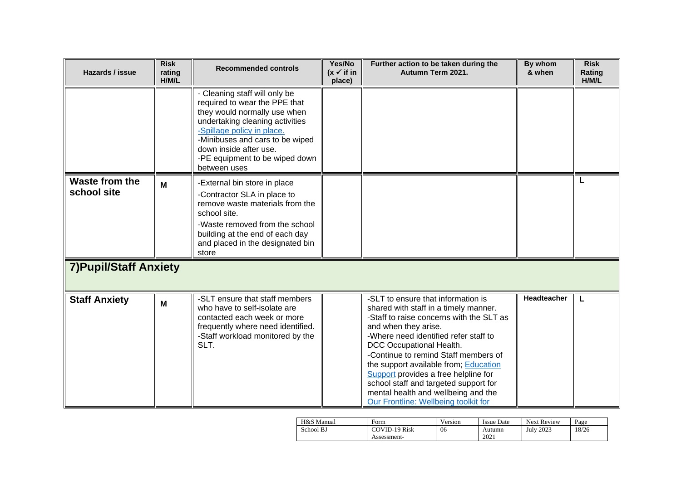| Hazards / issue               | <b>Risk</b><br>rating<br>H/M/L | <b>Recommended controls</b>                                                                                                                                                                                                                                                    | Yes/No<br>$(x \checkmark)$ if in<br>place) | Further action to be taken during the<br>Autumn Term 2021.                                                                                                                                                                                                                                                                                                                                                                                                            | By whom<br>& when  | <b>Risk</b><br><b>Rating</b><br>H/M/L |
|-------------------------------|--------------------------------|--------------------------------------------------------------------------------------------------------------------------------------------------------------------------------------------------------------------------------------------------------------------------------|--------------------------------------------|-----------------------------------------------------------------------------------------------------------------------------------------------------------------------------------------------------------------------------------------------------------------------------------------------------------------------------------------------------------------------------------------------------------------------------------------------------------------------|--------------------|---------------------------------------|
|                               |                                | - Cleaning staff will only be<br>required to wear the PPE that<br>they would normally use when<br>undertaking cleaning activities<br>-Spillage policy in place.<br>-Minibuses and cars to be wiped<br>down inside after use.<br>-PE equipment to be wiped down<br>between uses |                                            |                                                                                                                                                                                                                                                                                                                                                                                                                                                                       |                    |                                       |
| Waste from the<br>school site | M                              | -External bin store in place<br>-Contractor SLA in place to<br>remove waste materials from the<br>school site.<br>-Waste removed from the school<br>building at the end of each day<br>and placed in the designated bin<br>store                                               |                                            |                                                                                                                                                                                                                                                                                                                                                                                                                                                                       |                    |                                       |
| <b>7) Pupil/Staff Anxiety</b> |                                |                                                                                                                                                                                                                                                                                |                                            |                                                                                                                                                                                                                                                                                                                                                                                                                                                                       |                    |                                       |
| <b>Staff Anxiety</b>          | M                              | -SLT ensure that staff members<br>who have to self-isolate are<br>contacted each week or more<br>frequently where need identified.<br>-Staff workload monitored by the<br>SLT.                                                                                                 |                                            | -SLT to ensure that information is<br>shared with staff in a timely manner.<br>-Staff to raise concerns with the SLT as<br>and when they arise.<br>-Where need identified refer staff to<br>DCC Occupational Health.<br>-Continue to remind Staff members of<br>the support available from; Education<br>Support provides a free helpline for<br>school staff and targeted support for<br>mental health and wellbeing and the<br>Our Frontline: Wellbeing toolkit for | <b>Headteacher</b> | L                                     |

| H&S Manual | Form                 | Version | <b>Issue Date</b> | Next Review | Page |
|------------|----------------------|---------|-------------------|-------------|------|
| School BJ  | <b>COVID-19 Risk</b> | 06      | Autumn            | July 2023   | 8/26 |
|            | Assessment-          |         | 2021              |             |      |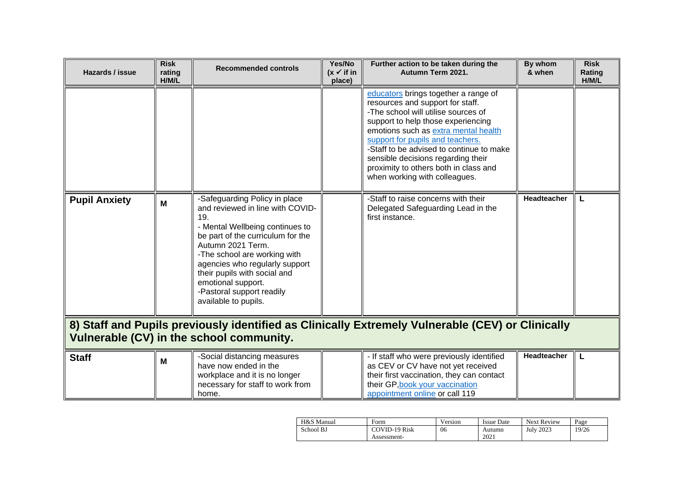| Hazards / issue                                                                                                                              | <b>Risk</b><br>rating<br>H/M/L | <b>Recommended controls</b>                                                                                                                                                                                                                                                                                                                        | Yes/No<br>$(x \vee$ if in<br>place) | Further action to be taken during the<br>Autumn Term 2021.                                                                                                                                                                                                                                                                                                                                    | By whom<br>& when | <b>Risk</b><br>Rating<br>H/M/L |
|----------------------------------------------------------------------------------------------------------------------------------------------|--------------------------------|----------------------------------------------------------------------------------------------------------------------------------------------------------------------------------------------------------------------------------------------------------------------------------------------------------------------------------------------------|-------------------------------------|-----------------------------------------------------------------------------------------------------------------------------------------------------------------------------------------------------------------------------------------------------------------------------------------------------------------------------------------------------------------------------------------------|-------------------|--------------------------------|
|                                                                                                                                              |                                |                                                                                                                                                                                                                                                                                                                                                    |                                     | educators brings together a range of<br>resources and support for staff.<br>-The school will utilise sources of<br>support to help those experiencing<br>emotions such as extra mental health<br>support for pupils and teachers.<br>-Staff to be advised to continue to make<br>sensible decisions regarding their<br>proximity to others both in class and<br>when working with colleagues. |                   |                                |
| <b>Pupil Anxiety</b>                                                                                                                         | M                              | -Safeguarding Policy in place<br>and reviewed in line with COVID-<br>19.<br>- Mental Wellbeing continues to<br>be part of the curriculum for the<br>Autumn 2021 Term.<br>-The school are working with<br>agencies who regularly support<br>their pupils with social and<br>emotional support.<br>-Pastoral support readily<br>available to pupils. |                                     | -Staff to raise concerns with their<br>Delegated Safeguarding Lead in the<br>first instance.                                                                                                                                                                                                                                                                                                  | Headteacher       |                                |
| 8) Staff and Pupils previously identified as Clinically Extremely Vulnerable (CEV) or Clinically<br>Vulnerable (CV) in the school community. |                                |                                                                                                                                                                                                                                                                                                                                                    |                                     |                                                                                                                                                                                                                                                                                                                                                                                               |                   |                                |
| <b>Staff</b>                                                                                                                                 | M                              | -Social distancing measures<br>have now ended in the<br>workplace and it is no longer<br>necessary for staff to work from<br>home.                                                                                                                                                                                                                 |                                     | - If staff who were previously identified<br>as CEV or CV have not yet received<br>their first vaccination, they can contact<br>their GP, book your vaccination<br>appointment online or call 119                                                                                                                                                                                             | Headteacher       | L                              |

| H&S Manual | Form                 | Version | Issue Date | Next Review | Page  |
|------------|----------------------|---------|------------|-------------|-------|
| School BJ  | <b>COVID-19 Risk</b> | 06      | Autumn     | July 2023   | 19/26 |
|            | Assessment-          |         | 2021       |             |       |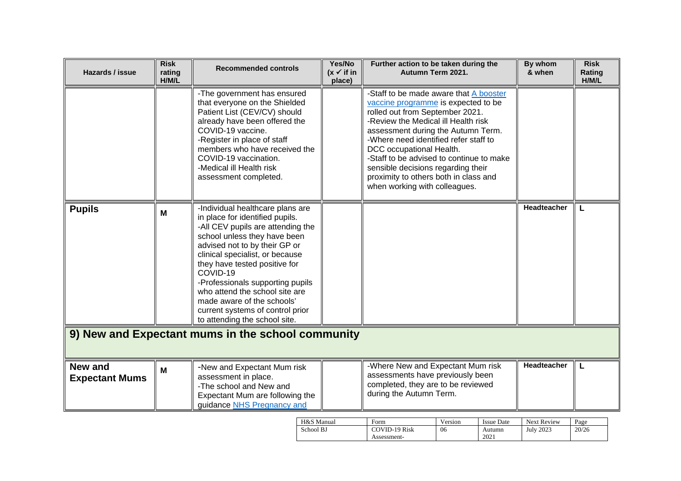| -The government has ensured<br>-Staff to be made aware that A booster<br>that everyone on the Shielded<br>vaccine programme is expected to be<br>Patient List (CEV/CV) should<br>rolled out from September 2021.<br>-Review the Medical ill Health risk<br>already have been offered the<br>COVID-19 vaccine.<br>assessment during the Autumn Term.<br>-Register in place of staff<br>-Where need identified refer staff to<br>members who have received the<br>DCC occupational Health.<br>COVID-19 vaccination.<br>-Staff to be advised to continue to make<br>-Medical ill Health risk<br>sensible decisions regarding their |   |
|---------------------------------------------------------------------------------------------------------------------------------------------------------------------------------------------------------------------------------------------------------------------------------------------------------------------------------------------------------------------------------------------------------------------------------------------------------------------------------------------------------------------------------------------------------------------------------------------------------------------------------|---|
| proximity to others both in class and<br>assessment completed.<br>when working with colleagues.                                                                                                                                                                                                                                                                                                                                                                                                                                                                                                                                 |   |
| Headteacher<br>-Individual healthcare plans are<br><b>Pupils</b><br>M<br>in place for identified pupils.<br>-All CEV pupils are attending the<br>school unless they have been<br>advised not to by their GP or<br>clinical specialist, or because<br>they have tested positive for<br>COVID-19<br>-Professionals supporting pupils<br>who attend the school site are<br>made aware of the schools'<br>current systems of control prior<br>to attending the school site.                                                                                                                                                         | L |
| 9) New and Expectant mums in the school community                                                                                                                                                                                                                                                                                                                                                                                                                                                                                                                                                                               |   |
| Headteacher<br>-Where New and Expectant Mum risk<br><b>New and</b><br>-New and Expectant Mum risk<br>M<br>assessments have previously been<br>assessment in place.<br><b>Expectant Mums</b><br>completed, they are to be reviewed<br>-The school and New and<br>during the Autumn Term.<br>Expectant Mum are following the<br>guidance NHS Pregnancy and                                                                                                                                                                                                                                                                        | L |

| H&S Manual | Form          | Version | <b>Issue Date</b> | Next Review | Page  |
|------------|---------------|---------|-------------------|-------------|-------|
| School BJ  | COVID-19 Risk | 06      | Autumn            | July 2023   | 20/26 |
|            | Assessment-   |         | 2021              |             |       |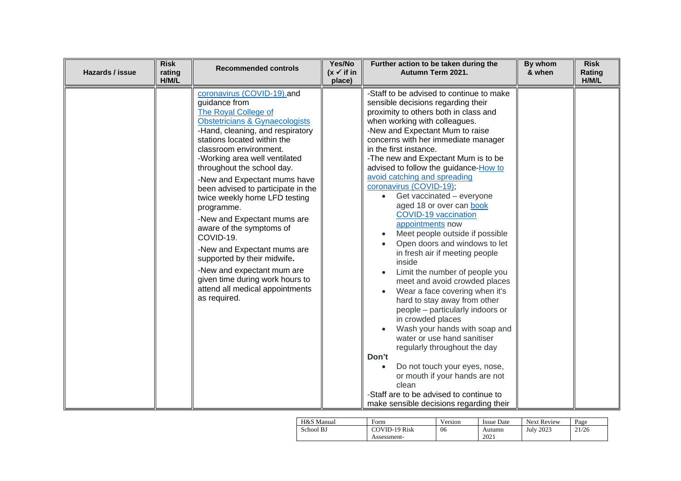| Hazards / issue | <b>Risk</b><br>rating<br>H/M/L | <b>Recommended controls</b>                                                                                                                                                                                                                                                                                                                                                                                                                                                                                                                                                                                                                      | Yes/No<br>$(x \checkmark)$ if in<br>place) | Further action to be taken during the<br>Autumn Term 2021.                                                                                                                                                                                                                                                                                                                                                                                                                                                                                                                                                                                                                                                                                                                                                                                                                                                                                                                                                                                                                                                                | By whom<br>& when | <b>Risk</b><br>Rating<br>H/M/L |
|-----------------|--------------------------------|--------------------------------------------------------------------------------------------------------------------------------------------------------------------------------------------------------------------------------------------------------------------------------------------------------------------------------------------------------------------------------------------------------------------------------------------------------------------------------------------------------------------------------------------------------------------------------------------------------------------------------------------------|--------------------------------------------|---------------------------------------------------------------------------------------------------------------------------------------------------------------------------------------------------------------------------------------------------------------------------------------------------------------------------------------------------------------------------------------------------------------------------------------------------------------------------------------------------------------------------------------------------------------------------------------------------------------------------------------------------------------------------------------------------------------------------------------------------------------------------------------------------------------------------------------------------------------------------------------------------------------------------------------------------------------------------------------------------------------------------------------------------------------------------------------------------------------------------|-------------------|--------------------------------|
|                 |                                | coronavirus (COVID-19).and<br>guidance from<br>The Royal College of<br>Obstetricians & Gynaecologists<br>-Hand, cleaning, and respiratory<br>stations located within the<br>classroom environment.<br>-Working area well ventilated<br>throughout the school day.<br>-New and Expectant mums have<br>been advised to participate in the<br>twice weekly home LFD testing<br>programme.<br>-New and Expectant mums are<br>aware of the symptoms of<br>COVID-19.<br>-New and Expectant mums are<br>supported by their midwife.<br>-New and expectant mum are<br>given time during work hours to<br>attend all medical appointments<br>as required. |                                            | -Staff to be advised to continue to make<br>sensible decisions regarding their<br>proximity to others both in class and<br>when working with colleagues.<br>-New and Expectant Mum to raise<br>concerns with her immediate manager<br>in the first instance.<br>-The new and Expectant Mum is to be<br>advised to follow the guidance-How to<br>avoid catching and spreading<br>coronavirus (COVID-19);<br>Get vaccinated - everyone<br>aged 18 or over can book<br><b>COVID-19 vaccination</b><br>appointments now<br>Meet people outside if possible<br>$\bullet$<br>Open doors and windows to let<br>in fresh air if meeting people<br>inside<br>Limit the number of people you<br>meet and avoid crowded places<br>Wear a face covering when it's<br>hard to stay away from other<br>people - particularly indoors or<br>in crowded places<br>Wash your hands with soap and<br>water or use hand sanitiser<br>regularly throughout the day<br>Don't<br>Do not touch your eyes, nose,<br>or mouth if your hands are not<br>clean<br>-Staff are to be advised to continue to<br>make sensible decisions regarding their |                   |                                |

| H&S Manual | Form                 | Version | Issue Date | <b>Next Review</b> | Page  |
|------------|----------------------|---------|------------|--------------------|-------|
| School BJ  | <b>COVID-19 Risk</b> | 06      | Autumn     | July 2023          | 21/26 |
|            | Assessment-          |         | 2021       |                    |       |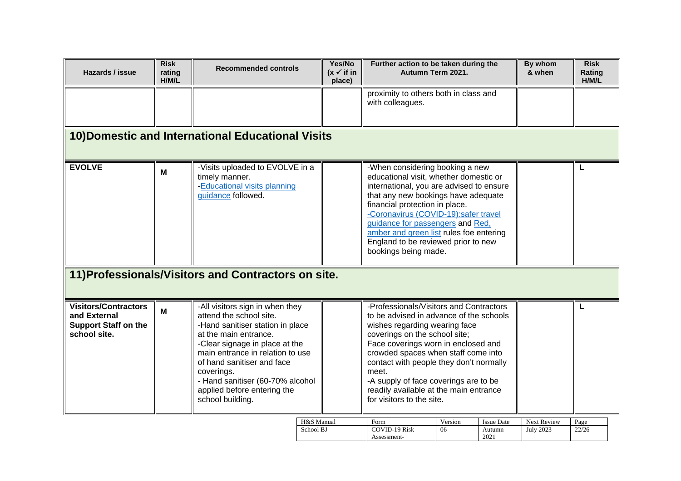| Hazards / issue                                                                            | <b>Risk</b><br>rating<br>H/M/L | <b>Recommended controls</b>                                                                                                                                                                                                                                                                                                      | Yes/No<br>$(x \vee$ if in<br>place) | Further action to be taken during the<br>Autumn Term 2021.                                                                                                                                                                                                                                                                                                                                             |               |                                     | By whom<br>& when               | <b>Risk</b><br>Rating<br>H/M/L |
|--------------------------------------------------------------------------------------------|--------------------------------|----------------------------------------------------------------------------------------------------------------------------------------------------------------------------------------------------------------------------------------------------------------------------------------------------------------------------------|-------------------------------------|--------------------------------------------------------------------------------------------------------------------------------------------------------------------------------------------------------------------------------------------------------------------------------------------------------------------------------------------------------------------------------------------------------|---------------|-------------------------------------|---------------------------------|--------------------------------|
|                                                                                            |                                |                                                                                                                                                                                                                                                                                                                                  |                                     | proximity to others both in class and<br>with colleagues.                                                                                                                                                                                                                                                                                                                                              |               |                                     |                                 |                                |
| 10) Domestic and International Educational Visits                                          |                                |                                                                                                                                                                                                                                                                                                                                  |                                     |                                                                                                                                                                                                                                                                                                                                                                                                        |               |                                     |                                 |                                |
| <b>EVOLVE</b>                                                                              | M                              | -Visits uploaded to EVOLVE in a<br>timely manner.<br>-Educational visits planning<br>guidance followed.                                                                                                                                                                                                                          |                                     | -When considering booking a new<br>educational visit, whether domestic or<br>international, you are advised to ensure<br>that any new bookings have adequate<br>financial protection in place.<br>-Coronavirus (COVID-19):safer travel<br>guidance for passengers and Red,<br>amber and green list rules foe entering<br>England to be reviewed prior to new<br>bookings being made.                   |               |                                     |                                 | L                              |
| 11) Professionals/Visitors and Contractors on site.                                        |                                |                                                                                                                                                                                                                                                                                                                                  |                                     |                                                                                                                                                                                                                                                                                                                                                                                                        |               |                                     |                                 |                                |
| <b>Visitors/Contractors</b><br>and External<br><b>Support Staff on the</b><br>school site. | M                              | -All visitors sign in when they<br>attend the school site.<br>-Hand sanitiser station in place<br>at the main entrance.<br>-Clear signage in place at the<br>main entrance in relation to use<br>of hand sanitiser and face<br>coverings.<br>- Hand sanitiser (60-70% alcohol<br>applied before entering the<br>school building. |                                     | -Professionals/Visitors and Contractors<br>to be advised in advance of the schools<br>wishes regarding wearing face<br>coverings on the school site;<br>Face coverings worn in enclosed and<br>crowded spaces when staff come into<br>contact with people they don't normally<br>meet.<br>-A supply of face coverings are to be<br>readily available at the main entrance<br>for visitors to the site. |               |                                     |                                 | L                              |
|                                                                                            |                                |                                                                                                                                                                                                                                                                                                                                  | H&S Manual<br>School BJ             | Form<br><b>COVID-19 Risk</b><br>Assessment-                                                                                                                                                                                                                                                                                                                                                            | Version<br>06 | <b>Issue Date</b><br>Autumn<br>2021 | Next Review<br><b>July 2023</b> | Page<br>22/26                  |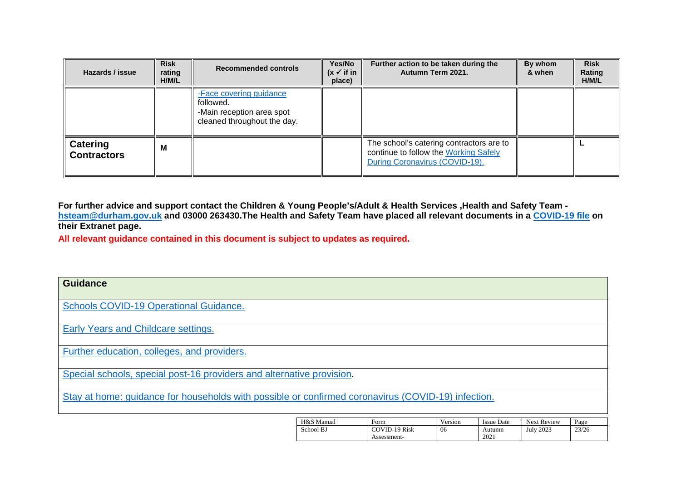| Hazards / issue                       | <b>Risk</b><br>rating<br>H/M/L | <b>Recommended controls</b>                                                                      | Yes/No<br>$(x \vee$ if in<br>place) | Further action to be taken during the<br>Autumn Term 2021.                                                          | By whom<br>& when | <b>Risk</b><br>Rating<br>H/M/L |
|---------------------------------------|--------------------------------|--------------------------------------------------------------------------------------------------|-------------------------------------|---------------------------------------------------------------------------------------------------------------------|-------------------|--------------------------------|
|                                       |                                | -Face covering guidance<br>followed.<br>-Main reception area spot<br>cleaned throughout the day. |                                     |                                                                                                                     |                   |                                |
| <b>Catering</b><br><b>Contractors</b> | M                              |                                                                                                  |                                     | The school's catering contractors are to<br>continue to follow the Working Safely<br>During Coronavirus (COVID-19). |                   |                                |

**For further advice and support contact the Children & Young People's/Adult & Health Services ,Health and Safety Team [hsteam@durham.gov.uk](mailto:hsteam@durham.gov.uk) and 03000 263430.The Health and Safety Team have placed all relevant documents in a [COVID-19 file](https://gateway.durhamschools.org.uk/premises/healthsafety/Lists/Covid19/Document.aspx?ID=1&Source=https://gateway.durhamschools.org.uk/premises/healthsafety%2FLists/Covid19) on their Extranet page.**

**All relevant guidance contained in this document is subject to updates as required.**

| <b>Guidance</b>                                                                                    |            |               |         |                   |             |       |
|----------------------------------------------------------------------------------------------------|------------|---------------|---------|-------------------|-------------|-------|
| <b>Schools COVID-19 Operational Guidance.</b>                                                      |            |               |         |                   |             |       |
| Early Years and Childcare settings.                                                                |            |               |         |                   |             |       |
| Further education, colleges, and providers.                                                        |            |               |         |                   |             |       |
| Special schools, special post-16 providers and alternative provision.                              |            |               |         |                   |             |       |
| Stay at home: guidance for households with possible or confirmed coronavirus (COVID-19) infection. |            |               |         |                   |             |       |
|                                                                                                    | H&S Manual | Form          | Version | <b>Issue Date</b> | Next Review | Page  |
|                                                                                                    | School BJ  | COVID-19 Risk | 06      | Autumn            | July 2023   | 23/26 |

Assessment-

2021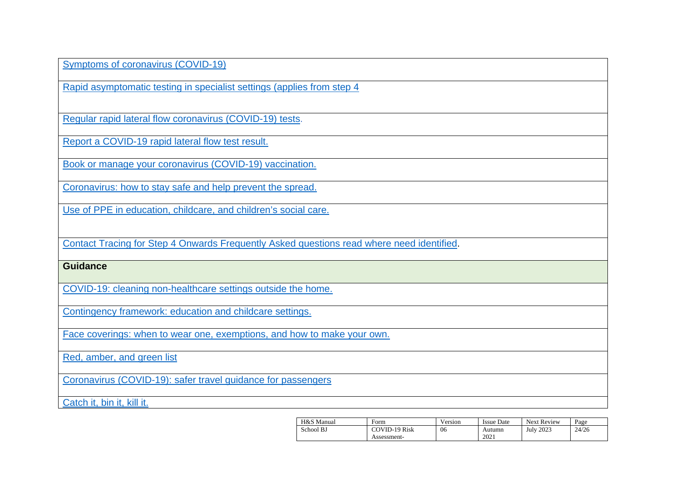[Symptoms of coronavirus \(COVID-19\)](https://www.nhs.uk/conditions/coronavirus-covid-19/symptoms/)

[Rapid asymptomatic testing in specialist settings \(applies from step 4](https://www.gov.uk/government/publications/guidance-for-full-opening-special-schools-and-other-specialist-settings/rapid-asymptomatic-testing-in-specialist-settings-applies-from-step-4)

[Regular rapid lateral flow coronavirus \(COVID-19\) tests.](https://www.nhs.uk/conditions/coronavirus-covid-19/testing/regular-rapid-coronavirus-tests-if-you-do-not-have-symptoms/)

Report [a COVID-19 rapid lateral flow test result.](https://www.gov.uk/report-covid19-result)

[Book or manage your coronavirus \(COVID-19\) vaccination.](https://www.nhs.uk/conditions/coronavirus-covid-19/coronavirus-vaccination/book-coronavirus-vaccination/)

[Coronavirus: how](https://www.gov.uk/guidance/covid-19-coronavirus-restrictions-what-you-can-and-cannot-do) [to stay safe and help prevent the spread.](https://www.gov.uk/guidance/covid-19-coronavirus-restrictions-what-you-can-and-cannot-do)

[Use of PPE in education, childcare, and children's social care.](https://www.gov.uk/government/publications/safe-working-in-education-childcare-and-childrens-social-care/the-use-of-personal-protective-equipment-ppe-in-education-childcare-and-childrens-social-care-settings-including-for-aerosol-generating-procedure)

[Contact Tracing for Step 4 Onwards Frequently Asked questions read where need identified.](https://drive.google.com/drive/folders/1X5SgRwxSIBJNnAGnT8rroKeX8rVpXEJI?form=MY01SV&OCID=MY01SV)

#### **Guidance**

[COVID-19: cleaning non-healthcare settings outside the home.](https://www.gov.uk/government/publications/covid-19-decontamination-in-non-healthcare-settings/covid-19-decontamination-in-non-healthcare-settings)

[Contingency framework: education and childcare settings.](https://www.gov.uk/government/publications/coronavirus-covid-19-local-restrictions-in-education-and-childcare-settings/contingency-framework-education-and-childcare-settings)

[Face coverings: when to wear one, exemptions, and how to make your own.](https://www.gov.uk/government/publications/face-coverings-when-to-wear-one-and-how-to-make-your-own/face-coverings-when-to-wear-one-and-how-to-make-your-own)

[Red, amber, and green list](https://www.gov.uk/guidance/red-amber-and-green-list-rules-for-entering-england)

[Coronavirus \(COVID-19\): safer travel guidance for passengers](https://www.gov.uk/guidance/coronavirus-covid-19-safer-travel-guidance-for-passengers#checklists-for-safer-travel)

[Catch it, bin it, kill it.](https://www.infectionpreventioncontrol.co.uk/resources/catch-it-bin-it-kill-it-poster/)

| H&S Manual | Form          | Version | <b>Issue Date</b> | Next Review      | Page  |
|------------|---------------|---------|-------------------|------------------|-------|
| School BJ  | COVID-19 Risk | 06      | Autumn            | <b>July 2023</b> | 24/26 |
|            | Assessment-   |         | 2021              |                  |       |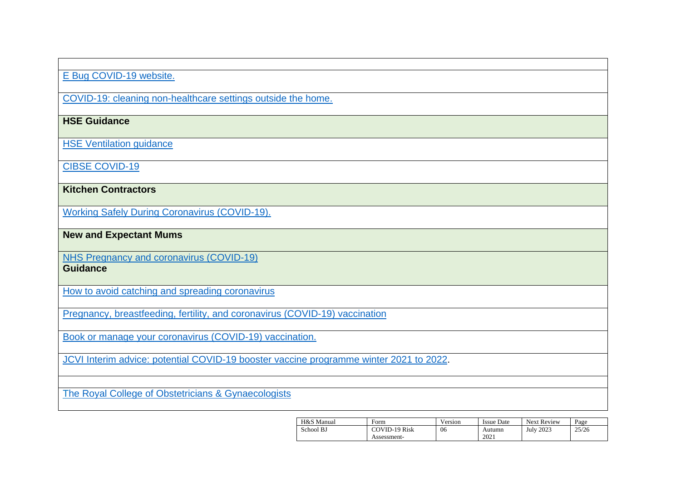### E [Bug COVID-19 website.](https://e-bug.eu/eng_home.aspx?cc=eng&ss=1&t=Information%20about%20the%20Coronavirus)

[COVID-19: cleaning](https://www.gov.uk/government/publications/covid-19-decontamination-in-non-healthcare-settings/covid-19-decontamination-in-non-healthcare-settings) non[-healthcare settings outside the home.](https://www.gov.uk/government/publications/covid-19-decontamination-in-non-healthcare-settings/covid-19-decontamination-in-non-healthcare-settings)

## **HSE Guidance**

[HSE Ventilation guidance](https://www.hse.gov.uk/coronavirus/equipment-and-machinery/air-conditioning-and-ventilation/index.htm)

[CIBSE COVID-19](https://www.cibse.org/coronavirus-covid-19/emerging-from-lockdown)

**Kitchen Contractors**

[Working Safely During Coronavirus \(COVID-19\).](https://www.gov.uk/guidance/working-safely-during-covid-19/restaurants-pubs-bars-nightclubs-and-takeaway-services)

**New and Expectant Mums**

[NHS Pregnancy and coronavirus \(COVID-19\)](https://www.nhs.uk/conditions/coronavirus-covid-19/people-at-higher-risk/pregnancy-and-coronavirus/)

**Guidance**

[How to avoid catching and spreading coronavirus](https://www.nhs.uk/conditions/coronavirus-covid-19/how-to-avoid-catching-and-spreading-coronavirus-covid-19/)

[Pregnancy, breastfeeding, fertility, and coronavirus \(COVID-19\) vaccination](https://www.nhs.uk/conditions/coronavirus-covid-19/coronavirus-vaccination/pregnancy-breastfeeding-fertility-and-coronavirus-covid-19-vaccination/)

[Book or manage your coronavirus \(COVID-19\) vaccination.](https://www.nhs.uk/conditions/coronavirus-covid-19/coronavirus-vaccination/book-coronavirus-vaccination/)

[JCVI Interim advice: potential COVID-19 booster vaccine programme winter 2021 to 2022.](https://www.gov.uk/government/publications/jcvi-interim-advice-on-a-potential-coronavirus-covid-19-booster-vaccine-programme-for-winter-2021-to-2022/jcvi-interim-advice-potential-covid-19-booster-vaccine-programme-winter-2021-to-2022)

[The Royal College of Obstetricians & Gynaecologists](https://www.rcog.org.uk/en/guidelines-research-services/guidelines/coronavirus-pregnancy/covid-19-virus-infection-and-pregnancy/#c19)

| H&S Manual | Form          | Version | <b>Issue Date</b> | <b>Next Review</b> | Page  |
|------------|---------------|---------|-------------------|--------------------|-------|
| School BJ  | COVID-19 Risk | 06      | Autumn            | <b>July 2023</b>   | 25/26 |
|            | Assessment-   |         | 2021              |                    |       |